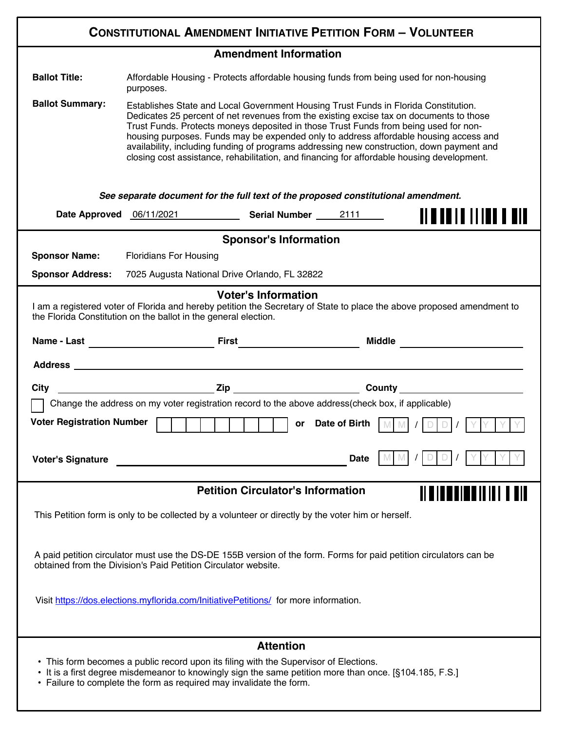| <b>CONSTITUTIONAL AMENDMENT INITIATIVE PETITION FORM - VOLUNTEER</b>                                                                                                                                                                                                                                  |                                                                                                                                                                                                                                                                                                                                                                                                                                                                                                                                                            |  |      |  |
|-------------------------------------------------------------------------------------------------------------------------------------------------------------------------------------------------------------------------------------------------------------------------------------------------------|------------------------------------------------------------------------------------------------------------------------------------------------------------------------------------------------------------------------------------------------------------------------------------------------------------------------------------------------------------------------------------------------------------------------------------------------------------------------------------------------------------------------------------------------------------|--|------|--|
| <b>Amendment Information</b>                                                                                                                                                                                                                                                                          |                                                                                                                                                                                                                                                                                                                                                                                                                                                                                                                                                            |  |      |  |
| <b>Ballot Title:</b>                                                                                                                                                                                                                                                                                  | Affordable Housing - Protects affordable housing funds from being used for non-housing<br>purposes.                                                                                                                                                                                                                                                                                                                                                                                                                                                        |  |      |  |
| <b>Ballot Summary:</b>                                                                                                                                                                                                                                                                                | Establishes State and Local Government Housing Trust Funds in Florida Constitution.<br>Dedicates 25 percent of net revenues from the existing excise tax on documents to those<br>Trust Funds. Protects moneys deposited in those Trust Funds from being used for non-<br>housing purposes. Funds may be expended only to address affordable housing access and<br>availability, including funding of programs addressing new construction, down payment and<br>closing cost assistance, rehabilitation, and financing for affordable housing development. |  |      |  |
| See separate document for the full text of the proposed constitutional amendment.                                                                                                                                                                                                                     |                                                                                                                                                                                                                                                                                                                                                                                                                                                                                                                                                            |  |      |  |
|                                                                                                                                                                                                                                                                                                       | Date Approved 06/11/2021 Serial Number 2111                                                                                                                                                                                                                                                                                                                                                                                                                                                                                                                |  |      |  |
| <b>Sponsor's Information</b>                                                                                                                                                                                                                                                                          |                                                                                                                                                                                                                                                                                                                                                                                                                                                                                                                                                            |  |      |  |
| <b>Sponsor Name:</b>                                                                                                                                                                                                                                                                                  | <b>Floridians For Housing</b>                                                                                                                                                                                                                                                                                                                                                                                                                                                                                                                              |  |      |  |
|                                                                                                                                                                                                                                                                                                       | Sponsor Address: 7025 Augusta National Drive Orlando, FL 32822                                                                                                                                                                                                                                                                                                                                                                                                                                                                                             |  |      |  |
| <b>Voter's Information</b><br>I am a registered voter of Florida and hereby petition the Secretary of State to place the above proposed amendment to<br>the Florida Constitution on the ballot in the general election.<br>Name - Last <b>Example 2018</b> First <b>First</b><br><b>Middle Middle</b> |                                                                                                                                                                                                                                                                                                                                                                                                                                                                                                                                                            |  |      |  |
|                                                                                                                                                                                                                                                                                                       | Address and the contract of the contract of the contract of the contract of the contract of the contract of the contract of the contract of the contract of the contract of the contract of the contract of the contract of th                                                                                                                                                                                                                                                                                                                             |  |      |  |
| <b>City</b>                                                                                                                                                                                                                                                                                           |                                                                                                                                                                                                                                                                                                                                                                                                                                                                                                                                                            |  |      |  |
| Change the address on my voter registration record to the above address(check box, if applicable)                                                                                                                                                                                                     |                                                                                                                                                                                                                                                                                                                                                                                                                                                                                                                                                            |  |      |  |
| <b>Voter Registration Number</b><br>or Date of Birth                                                                                                                                                                                                                                                  |                                                                                                                                                                                                                                                                                                                                                                                                                                                                                                                                                            |  |      |  |
| <b>Voter's Signature</b>                                                                                                                                                                                                                                                                              |                                                                                                                                                                                                                                                                                                                                                                                                                                                                                                                                                            |  | Date |  |
| <b>Petition Circulator's Information</b>                                                                                                                                                                                                                                                              |                                                                                                                                                                                                                                                                                                                                                                                                                                                                                                                                                            |  |      |  |
| This Petition form is only to be collected by a volunteer or directly by the voter him or herself.                                                                                                                                                                                                    |                                                                                                                                                                                                                                                                                                                                                                                                                                                                                                                                                            |  |      |  |
| A paid petition circulator must use the DS-DE 155B version of the form. Forms for paid petition circulators can be<br>obtained from the Division's Paid Petition Circulator website.                                                                                                                  |                                                                                                                                                                                                                                                                                                                                                                                                                                                                                                                                                            |  |      |  |
| Visit https://dos.elections.myflorida.com/InitiativePetitions/ for more information.                                                                                                                                                                                                                  |                                                                                                                                                                                                                                                                                                                                                                                                                                                                                                                                                            |  |      |  |
| <b>Attention</b>                                                                                                                                                                                                                                                                                      |                                                                                                                                                                                                                                                                                                                                                                                                                                                                                                                                                            |  |      |  |
| • This form becomes a public record upon its filing with the Supervisor of Elections.<br>• It is a first degree misdemeanor to knowingly sign the same petition more than once. [§104.185, F.S.]<br>• Failure to complete the form as required may invalidate the form.                               |                                                                                                                                                                                                                                                                                                                                                                                                                                                                                                                                                            |  |      |  |